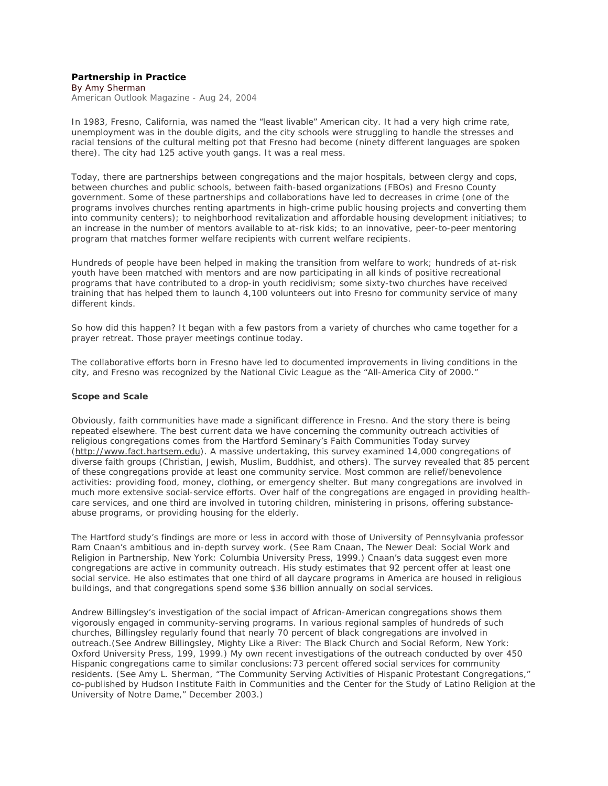## **Partnership in Practice**

By Amy Sherman American Outlook Magazine - Aug 24, 2004

In 1983, Fresno, California, was named the "least livable" American city. It had a very high crime rate, unemployment was in the double digits, and the city schools were struggling to handle the stresses and racial tensions of the cultural melting pot that Fresno had become (ninety different languages are spoken there). The city had 125 active youth gangs. It was a real mess.

Today, there are partnerships between congregations and the major hospitals, between clergy and cops, between churches and public schools, between faith-based organizations (FBOs) and Fresno County government. Some of these partnerships and collaborations have led to decreases in crime (one of the programs involves churches renting apartments in high-crime public housing projects and converting them into community centers); to neighborhood revitalization and affordable housing development initiatives; to an increase in the number of mentors available to at-risk kids; to an innovative, peer-to-peer mentoring program that matches former welfare recipients with current welfare recipients.

Hundreds of people have been helped in making the transition from welfare to work; hundreds of at-risk youth have been matched with mentors and are now participating in all kinds of positive recreational programs that have contributed to a drop-in youth recidivism; some sixty-two churches have received training that has helped them to launch 4,100 volunteers out into Fresno for community service of many different kinds.

So how did this happen? It began with a few pastors from a variety of churches who came together for a prayer retreat. Those prayer meetings continue today.

The collaborative efforts born in Fresno have led to documented improvements in living conditions in the city, and Fresno was recognized by the National Civic League as the "All-America City of 2000."

## **Scope and Scale**

Obviously, faith communities have made a significant difference in Fresno. And the story there is being repeated elsewhere. The best current data we have concerning the community outreach activities of religious congregations comes from the Hartford Seminary's Faith Communities Today survey (http://www.fact.hartsem.edu). A massive undertaking, this survey examined 14,000 congregations of diverse faith groups (Christian, Jewish, Muslim, Buddhist, and others). The survey revealed that 85 percent of these congregations provide at least one community service. Most common are relief/benevolence activities: providing food, money, clothing, or emergency shelter. But many congregations are involved in much more extensive social-service efforts. Over half of the congregations are engaged in providing healthcare services, and one third are involved in tutoring children, ministering in prisons, offering substanceabuse programs, or providing housing for the elderly.

The Hartford study's findings are more or less in accord with those of University of Pennsylvania professor Ram Cnaan's ambitious and in-depth survey work. (See Ram Cnaan, *The Newer Deal: Social Work and Religion in Partnership*, New York: Columbia University Press, 1999.) Cnaan's data suggest even more congregations are active in community outreach. His study estimates that 92 percent offer at least one social service. He also estimates that one third of all daycare programs in America are housed in religious buildings, and that congregations spend some \$36 billion annually on social services.

Andrew Billingsley's investigation of the social impact of African-American congregations shows them vigorously engaged in community-serving programs. In various regional samples of hundreds of such churches, Billingsley regularly found that nearly 70 percent of black congregations are involved in outreach.(See Andrew Billingsley, *Mighty Like a River: The Black Church and Social Reform*, New York: Oxford University Press, 199, 1999.) My own recent investigations of the outreach conducted by over 450 Hispanic congregations came to similar conclusions:73 percent offered social services for community residents. (See Amy L. Sherman, "The Community Serving Activities of Hispanic Protestant Congregations," co-published by Hudson Institute Faith in Communities and the Center for the Study of Latino Religion at the University of Notre Dame," December 2003.)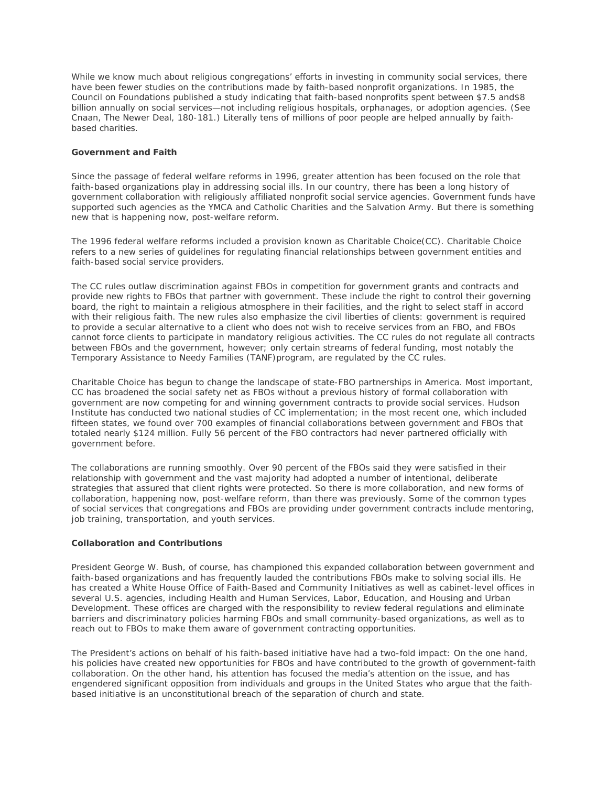While we know much about religious congregations' efforts in investing in community social services, there have been fewer studies on the contributions made by faith-based nonprofit organizations. In 1985, the Council on Foundations published a study indicating that faith-based nonprofits spent between \$7.5 and\$8 billion annually on social services—not including religious hospitals, orphanages, or adoption agencies. (See Cnaan, *The Newer Deal*, 180-181.) Literally tens of millions of poor people are helped annually by faithbased charities.

## **Government and Faith**

Since the passage of federal welfare reforms in 1996, greater attention has been focused on the role that faith-based organizations play in addressing social ills. In our country, there has been a long history of government collaboration with religiously affiliated nonprofit social service agencies. Government funds have supported such agencies as the YMCA and Catholic Charities and the Salvation Army. But there is something new that is happening now, post-welfare reform.

The 1996 federal welfare reforms included a provision known as Charitable Choice(CC). Charitable Choice refers to a new series of guidelines for regulating financial relationships between government entities and faith-based social service providers.

The CC rules outlaw discrimination against FBOs in competition for government grants and contracts and provide new rights to FBOs that partner with government. These include the right to control their governing board, the right to maintain a religious atmosphere in their facilities, and the right to select staff in accord with their religious faith. The new rules also emphasize the civil liberties of clients: government is required to provide a secular alternative to a client who does not wish to receive services from an FBO, and FBOs cannot force clients to participate in mandatory religious activities. The CC rules do not regulate *all* contracts between FBOs and the government, however; only certain streams of federal funding, most notably the Temporary Assistance to Needy Families (TANF)program, are regulated by the CC rules.

Charitable Choice has begun to change the landscape of state-FBO partnerships in America. Most important, CC has broadened the social safety net as FBOs without a previous history of formal collaboration with government are now competing for and winning government contracts to provide social services. Hudson Institute has conducted two national studies of CC implementation; in the most recent one, which included fifteen states, we found over 700 examples of financial collaborations between government and FBOs that totaled nearly \$124 million. Fully 56 percent of the FBO contractors had never partnered officially with government before.

The collaborations are running smoothly. Over 90 percent of the FBOs said they were satisfied in their relationship with government and the vast majority had adopted a number of intentional, deliberate strategies that assured that client rights were protected. So there is more collaboration, and new forms of collaboration, happening now, post-welfare reform, than there was previously. Some of the common types of social services that congregations and FBOs are providing under government contracts include mentoring, job training, transportation, and youth services.

## **Collaboration and Contributions**

President George W. Bush, of course, has championed this expanded collaboration between government and faith-based organizations and has frequently lauded the contributions FBOs make to solving social ills. He has created a White House Office of Faith-Based and Community Initiatives as well as cabinet-level offices in several U.S. agencies, including Health and Human Services, Labor, Education, and Housing and Urban Development. These offices are charged with the responsibility to review federal regulations and eliminate barriers and discriminatory policies harming FBOs and small community-based organizations, as well as to reach out to FBOs to make them aware of government contracting opportunities.

The President's actions on behalf of his faith-based initiative have had a two-fold impact: On the one hand, his policies have created new opportunities for FBOs and have contributed to the growth of government-faith collaboration. On the other hand, his attention has focused the media's attention on the issue, and has engendered significant opposition from individuals and groups in the United States who argue that the faithbased initiative is an unconstitutional breach of the separation of church and state.